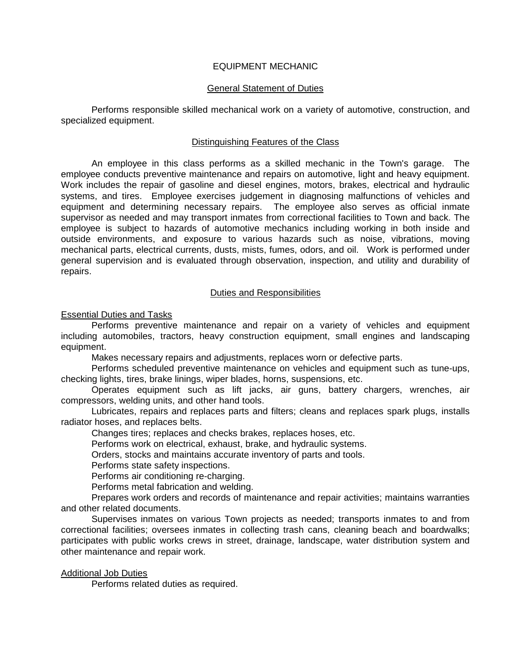# EQUIPMENT MECHANIC

### General Statement of Duties

Performs responsible skilled mechanical work on a variety of automotive, construction, and specialized equipment.

### Distinguishing Features of the Class

An employee in this class performs as a skilled mechanic in the Town's garage. The employee conducts preventive maintenance and repairs on automotive, light and heavy equipment. Work includes the repair of gasoline and diesel engines, motors, brakes, electrical and hydraulic systems, and tires. Employee exercises judgement in diagnosing malfunctions of vehicles and equipment and determining necessary repairs. The employee also serves as official inmate supervisor as needed and may transport inmates from correctional facilities to Town and back. The employee is subject to hazards of automotive mechanics including working in both inside and outside environments, and exposure to various hazards such as noise, vibrations, moving mechanical parts, electrical currents, dusts, mists, fumes, odors, and oil. Work is performed under general supervision and is evaluated through observation, inspection, and utility and durability of repairs.

## Duties and Responsibilities

### Essential Duties and Tasks

Performs preventive maintenance and repair on a variety of vehicles and equipment including automobiles, tractors, heavy construction equipment, small engines and landscaping equipment.

Makes necessary repairs and adjustments, replaces worn or defective parts.

Performs scheduled preventive maintenance on vehicles and equipment such as tune-ups, checking lights, tires, brake linings, wiper blades, horns, suspensions, etc.

Operates equipment such as lift jacks, air guns, battery chargers, wrenches, air compressors, welding units, and other hand tools.

Lubricates, repairs and replaces parts and filters; cleans and replaces spark plugs, installs radiator hoses, and replaces belts.

Changes tires; replaces and checks brakes, replaces hoses, etc.

Performs work on electrical, exhaust, brake, and hydraulic systems.

Orders, stocks and maintains accurate inventory of parts and tools.

Performs state safety inspections.

Performs air conditioning re-charging.

Performs metal fabrication and welding.

Prepares work orders and records of maintenance and repair activities; maintains warranties and other related documents.

Supervises inmates on various Town projects as needed; transports inmates to and from correctional facilities; oversees inmates in collecting trash cans, cleaning beach and boardwalks; participates with public works crews in street, drainage, landscape, water distribution system and other maintenance and repair work.

### Additional Job Duties

Performs related duties as required.